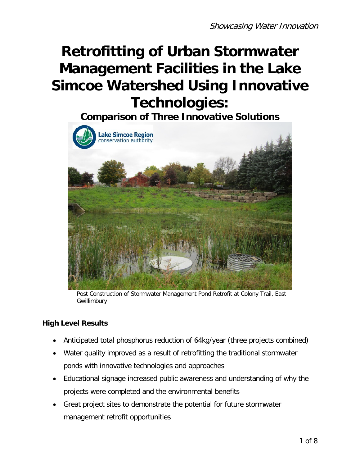# **Retrofitting of Urban Stormwater Management Facilities in the Lake Simcoe Watershed Using Innovative Technologies:**

**Comparison of Three Innovative Solutions**



Post Construction of Stormwater Management Pond Retrofit at Colony Trail, East Gwillimbury

## **High Level Results**

- Anticipated total phosphorus reduction of 64kg/year (three projects combined)
- Water quality improved as a result of retrofitting the traditional stormwater ponds with innovative technologies and approaches
- Educational signage increased public awareness and understanding of why the projects were completed and the environmental benefits
- Great project sites to demonstrate the potential for future stormwater management retrofit opportunities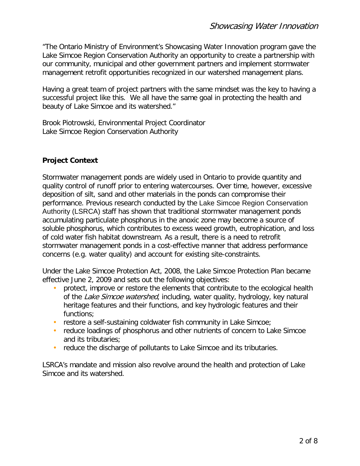"The Ontario Ministry of Environment's Showcasing Water Innovation program gave the Lake Simcoe Region Conservation Authority an opportunity to create a partnership with our community, municipal and other government partners and implement stormwater management retrofit opportunities recognized in our watershed management plans.

Having a great team of project partners with the same mindset was the key to having a successful project like this. We all have the same goal in protecting the health and beauty of Lake Simcoe and its watershed."

Brook Piotrowski, Environmental Project Coordinator Lake Simcoe Region Conservation Authority

## **Project Context**

Stormwater management ponds are widely used in Ontario to provide quantity and quality control of runoff prior to entering watercourses. Over time, however, excessive deposition of silt, sand and other materials in the ponds can compromise their performance. Previous research conducted by the Lake Simcoe Region Conservation Authority (LSRCA) staff has shown that traditional stormwater management ponds accumulating particulate phosphorus in the anoxic zone may become a source of soluble phosphorus, which contributes to excess weed growth, eutrophication, and loss of cold water fish habitat downstream. As a result, there is a need to retrofit stormwater management ponds in a cost-effective manner that address performance concerns (e.g. water quality) and account for existing site-constraints.

Under the Lake Simcoe Protection Act, 2008, the Lake Simcoe Protection Plan became effective June 2, 2009 and sets out the following objectives:

- protect, improve or restore the elements that contribute to the ecological health of the Lake Simcoe watershed, including, water quality, hydrology, key natural heritage features and their functions, and key hydrologic features and their functions;
- restore a self-sustaining coldwater fish community in Lake Simcoe;
- reduce loadings of phosphorus and other nutrients of concern to Lake Simcoe and its tributaries;
- reduce the discharge of pollutants to Lake Simcoe and its tributaries.

LSRCA's mandate and mission also revolve around the health and protection of Lake Simcoe and its watershed.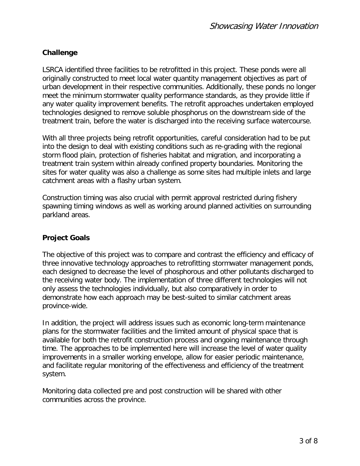## **Challenge**

LSRCA identified three facilities to be retrofitted in this project. These ponds were all originally constructed to meet local water quantity management objectives as part of urban development in their respective communities. Additionally, these ponds no longer meet the minimum stormwater quality performance standards, as they provide little if any water quality improvement benefits. The retrofit approaches undertaken employed technologies designed to remove soluble phosphorus on the downstream side of the treatment train, before the water is discharged into the receiving surface watercourse.

With all three projects being retrofit opportunities, careful consideration had to be put into the design to deal with existing conditions such as re-grading with the regional storm flood plain, protection of fisheries habitat and migration, and incorporating a treatment train system within already confined property boundaries. Monitoring the sites for water quality was also a challenge as some sites had multiple inlets and large catchment areas with a flashy urban system.

Construction timing was also crucial with permit approval restricted during fishery spawning timing windows as well as working around planned activities on surrounding parkland areas.

## **Project Goals**

The objective of this project was to compare and contrast the efficiency and efficacy of three innovative technology approaches to retrofitting stormwater management ponds, each designed to decrease the level of phosphorous and other pollutants discharged to the receiving water body. The implementation of three different technologies will not only assess the technologies individually, but also comparatively in order to demonstrate how each approach may be best-suited to similar catchment areas province-wide.

In addition, the project will address issues such as economic long-term maintenance plans for the stormwater facilities and the limited amount of physical space that is available for both the retrofit construction process and ongoing maintenance through time. The approaches to be implemented here will increase the level of water quality improvements in a smaller working envelope, allow for easier periodic maintenance, and facilitate regular monitoring of the effectiveness and efficiency of the treatment system.

Monitoring data collected pre and post construction will be shared with other communities across the province.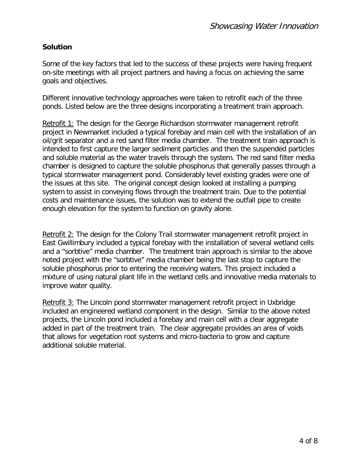#### **Solution**

Some of the key factors that led to the success of these projects were having frequent on-site meetings with all project partners and having a focus on achieving the same goals and objectives.

Different innovative technology approaches were taken to retrofit each of the three ponds. Listed below are the three designs incorporating a treatment train approach.

Retrofit 1: The design for the George Richardson stormwater management retrofit project in Newmarket included a typical forebay and main cell with the installation of an oil/grit separator and a red sand filter media chamber. The treatment train approach is intended to first capture the larger sediment particles and then the suspended particles and soluble material as the water travels through the system. The red sand filter media chamber is designed to capture the soluble phosphorus that generally passes through a typical stormwater management pond. Considerably level existing grades were one of the issues at this site. The original concept design looked at installing a pumping system to assist in conveying flows through the treatment train. Due to the potential costs and maintenance issues, the solution was to extend the outfall pipe to create enough elevation for the system to function on gravity alone.

Retrofit 2: The design for the Colony Trail stormwater management retrofit project in East Gwillimbury included a typical forebay with the installation of several wetland cells and a "sorbtive" media chamber. The treatment train approach is similar to the above noted project with the "sorbtive" media chamber being the last stop to capture the soluble phosphorus prior to entering the receiving waters. This project included a mixture of using natural plant life in the wetland cells and innovative media materials to improve water quality.

Retrofit 3: The Lincoln pond stormwater management retrofit project in Uxbridge included an engineered wetland component in the design. Similar to the above noted projects, the Lincoln pond included a forebay and main cell with a clear aggregate added in part of the treatment train. The clear aggregate provides an area of voids that allows for vegetation root systems and micro-bacteria to grow and capture additional soluble material.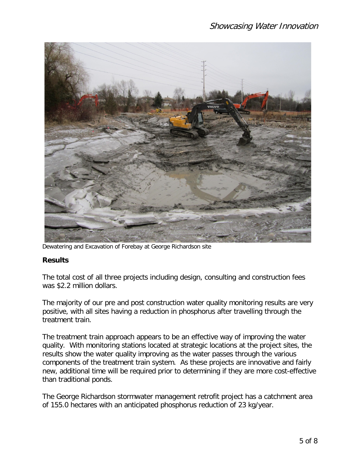

Dewatering and Excavation of Forebay at George Richardson site

## **Results**

The total cost of all three projects including design, consulting and construction fees was \$2.2 million dollars.

The majority of our pre and post construction water quality monitoring results are very positive, with all sites having a reduction in phosphorus after travelling through the treatment train.

The treatment train approach appears to be an effective way of improving the water quality. With monitoring stations located at strategic locations at the project sites, the results show the water quality improving as the water passes through the various components of the treatment train system. As these projects are innovative and fairly new, additional time will be required prior to determining if they are more cost-effective than traditional ponds.

The George Richardson stormwater management retrofit project has a catchment area of 155.0 hectares with an anticipated phosphorus reduction of 23 kg/year.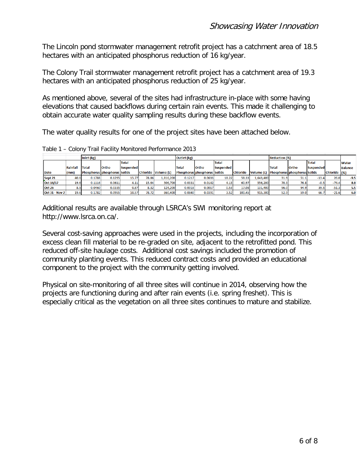The Lincoln pond stormwater management retrofit project has a catchment area of 18.5 hectares with an anticipated phosphorus reduction of 16 kg/year.

The Colony Trail stormwater management retrofit project has a catchment area of 19.3 hectares with an anticipated phosphorus reduction of 25 kg/year.

As mentioned above, several of the sites had infrastructure in-place with some having elevations that caused backflows during certain rain events. This made it challenging to obtain accurate water quality sampling results during these backflow events.

The water quality results for one of the project sites have been attached below.

|                       |                 | Inlet (kg)                          |        |                  |       |                     | Outlet (kg) |                                     |                  |                 |            | <b>Reduction (%)</b>                 |       |              |              |                |
|-----------------------|-----------------|-------------------------------------|--------|------------------|-------|---------------------|-------------|-------------------------------------|------------------|-----------------|------------|--------------------------------------|-------|--------------|--------------|----------------|
|                       |                 |                                     |        | <b>Total</b>     |       |                     |             |                                     | <b>Total</b>     |                 |            |                                      |       | <b>Total</b> |              | <b>Water</b>   |
|                       | <b>Rainfall</b> | <b>Total</b>                        | Ortho  | <b>Suspended</b> |       |                     | Total       | <b>Ortho</b>                        | <b>Suspended</b> |                 |            | <b>Total</b>                         | Ortho | Suspended    |              | <b>Balance</b> |
| <b>Date</b>           | (mm)            | <b>Phosphorus phosphorus Solids</b> |        |                  |       | Chloride Volume (L) |             | <b>Phosphorus phosphorus Solids</b> |                  | <b>Chloride</b> | Volume (L) | <b>IPhosphorus phosphorus Solids</b> |       |              | Chloride (%) |                |
| Sept 21               | 40.6            | 0.1788                              | 0.1295 | 15.77            | 78.86 | 1,816,200           | 0.1217      | 0.0633                              | 18.22            | 58.33           | 1,643,400  | 31.9                                 | 51.1  | $-13.4$      | 26.0         | $-9.5$         |
| Oct 16/17             | 19.6            | 0.1116                              | 0.0611 | 4.11             | 15.64 | 506.700             | 0.0331      | 0.0142                              | 4.13             | 60.97           | 556.200    | 70.3 <sub>1</sub>                    | 76.8  | $-0.5$       | $-74.4$      | 8.9            |
| <b>Oct 26</b>         | 8.5             | 0.0460                              | 0.0335 | 0.87             | 8.32  | 124,200             | 0.0018      | 0.0017                              | 0.53             | 17.08           | 131,400    | 96.0                                 | 94.9  | 39.5         | $-51.3$      | 5.5            |
| <b>Oct 31 - Nov 2</b> | 19.6            | 0.1782                              | 0.0955 | 10.57            | 78.72 | 860,400             | 0.0840      | 0.0391                              | 3.52             | 100.45          | 915,300    | 52.9                                 | 59.0  | 66.7         | $-21.6$      | 6.0            |

Table 1 – Colony Trail Facility Monitored Performance 2013

Additional results are available through LSRCA's SWI monitoring report at http://www.lsrca.on.ca/.

Several cost-saving approaches were used in the projects, including the incorporation of excess clean fill material to be re-graded on site, adjacent to the retrofitted pond. This reduced off-site haulage costs. Additional cost savings included the promotion of community planting events. This reduced contract costs and provided an educational component to the project with the community getting involved.

Physical on site-monitoring of all three sites will continue in 2014, observing how the projects are functioning during and after rain events (i.e. spring freshet). This is especially critical as the vegetation on all three sites continues to mature and stabilize.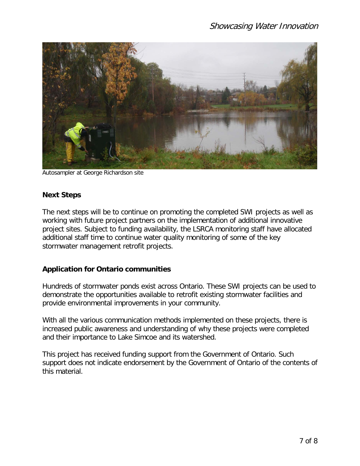

Autosampler at George Richardson site

#### **Next Steps**

The next steps will be to continue on promoting the completed SWI projects as well as working with future project partners on the implementation of additional innovative project sites. Subject to funding availability, the LSRCA monitoring staff have allocated additional staff time to continue water quality monitoring of some of the key stormwater management retrofit projects.

#### **Application for Ontario communities**

Hundreds of stormwater ponds exist across Ontario. These SWI projects can be used to demonstrate the opportunities available to retrofit existing stormwater facilities and provide environmental improvements in your community.

With all the various communication methods implemented on these projects, there is increased public awareness and understanding of why these projects were completed and their importance to Lake Simcoe and its watershed.

This project has received funding support from the Government of Ontario. Such support does not indicate endorsement by the Government of Ontario of the contents of this material.